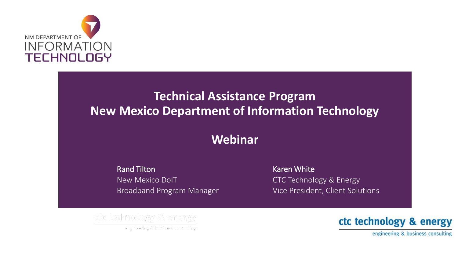

#### **Technical Assistance Program New Mexico Department of Information Technology**

#### **Webinar**

Rand Tilton New Mexico DoIT Broadband Program Manager

Karen White CTC Technology & Energy Vice President, Client Solutions



engineering & business consulting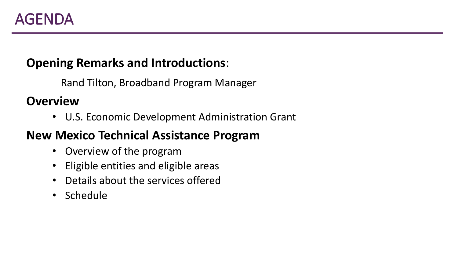#### **Opening Remarks and Introductions**:

Rand Tilton, Broadband Program Manager

**Overview**

• U.S. Economic Development Administration Grant

#### **New Mexico Technical Assistance Program**

- Overview of the program
- Eligible entities and eligible areas
- Details about the services offered
- Schedule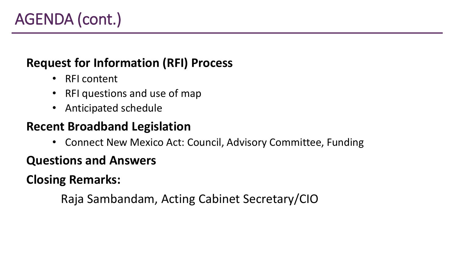### **Request for Information (RFI) Process**

- RFI content
- RFI questions and use of map
- Anticipated schedule

### **Recent Broadband Legislation**

• Connect New Mexico Act: Council, Advisory Committee, Funding

#### **Questions and Answers**

**Closing Remarks:**

Raja Sambandam, Acting Cabinet Secretary/CIO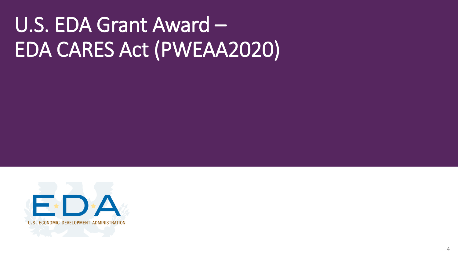# U.S. EDA Grant Award – EDA CARES Act (PWEAA2020)

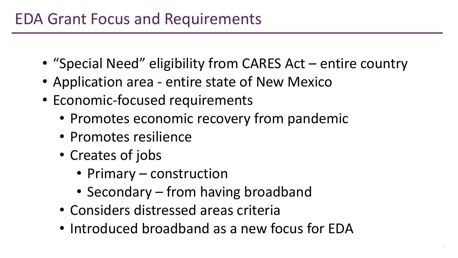- "Special Need" eligibility from CARES Act entire country
- Application area entire state of New Mexico
- Economic-focused requirements
	- Promotes economic recovery from pandemic
	- Promotes resilience
	- Creates of jobs
		- Primary construction
		- Secondary from having broadband
	- Considers distressed areas criteria
	- Introduced broadband as a new focus for EDA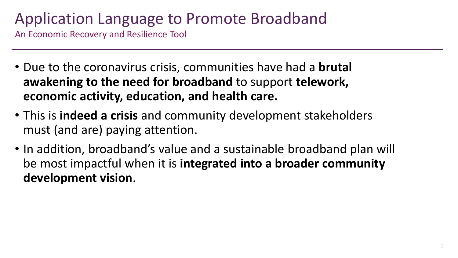# Application Language to Promote Broadband

An Economic Recovery and Resilience Tool

- Due to the coronavirus crisis, communities have had a **brutal awakening to the need for broadband** to support **telework, economic activity, education, and health care.**
- This is **indeed a crisis** and community development stakeholders must (and are) paying attention.
- In addition, broadband's value and a sustainable broadband plan will be most impactful when it is **integrated into a broader community development vision**.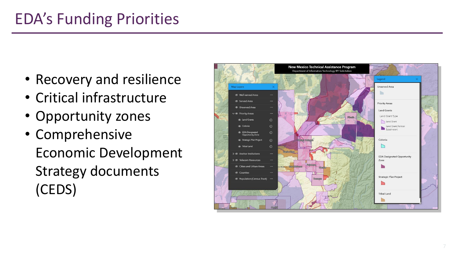# EDA's Funding Priorities

- Recovery and resilience
- Critical infrastructure
- Opportunity zones
- Comprehensive Economic Development Strategy documents (CEDS)

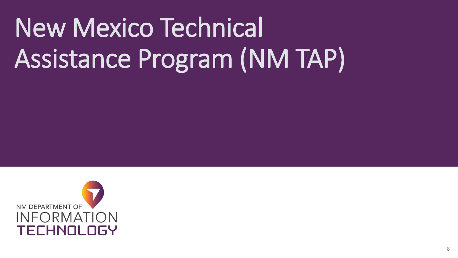# New Mexico Technical Assistance Program (NM TAP)

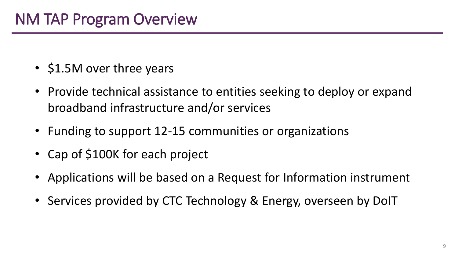- \$1.5M over three years
- Provide technical assistance to entities seeking to deploy or expand broadband infrastructure and/or services
- Funding to support 12-15 communities or organizations
- Cap of \$100K for each project
- Applications will be based on a Request for Information instrument
- Services provided by CTC Technology & Energy, overseen by DoIT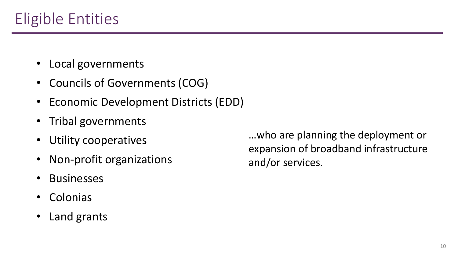- Local governments
- Councils of Governments (COG)
- Economic Development Districts (EDD)
- Tribal governments
- Utility cooperatives
- Non-profit organizations
- **Businesses**
- **Colonias**
- Land grants

…who are planning the deployment or expansion of broadband infrastructure and/or services.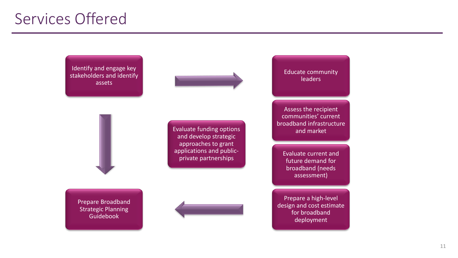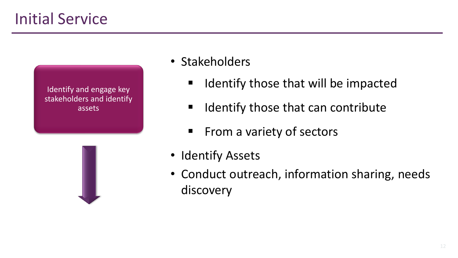# Initial Service



- Stakeholders
	- Identify those that will be impacted
	- Identify those that can contribute
	- From a variety of sectors
- Identify Assets
- Conduct outreach, information sharing, needs discovery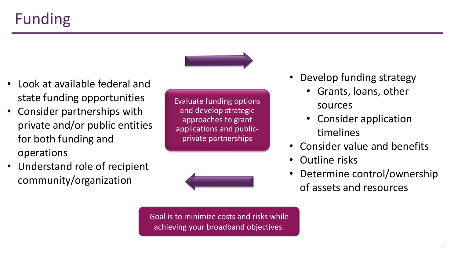- Look at available federal and state funding opportunities
- Consider partnerships with private and/or public entities for both funding and operations
- Understand role of recipient community/organization

Evaluate funding options and develop strategic approaches to grant applications and publicprivate partnerships



- Develop funding strategy
	- Grants, loans, other sources
	- Consider application timelines
- Consider value and benefits
- Outline risks
- Determine control/ownership of assets and resources

Goal is to minimize costs and risks while achieving your broadband objectives.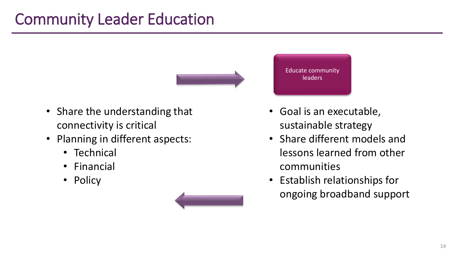# Community Leader Education



- Share the understanding that connectivity is critical
- Planning in different aspects:
	- Technical
	- Financial
	- Policy



Educate community leaders

- Goal is an executable, sustainable strategy
- Share different models and lessons learned from other communities
- Establish relationships for ongoing broadband support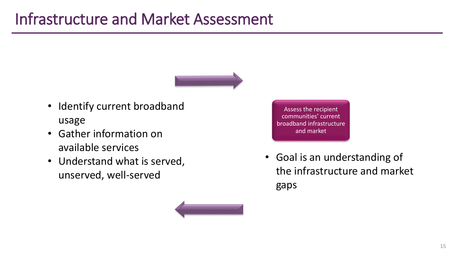

- Identify current broadband usage
- Gather information on available services
- Understand what is served, unserved, well-served

Assess the recipient communities' current broadband infrastructure and market

• Goal is an understanding of the infrastructure and market gaps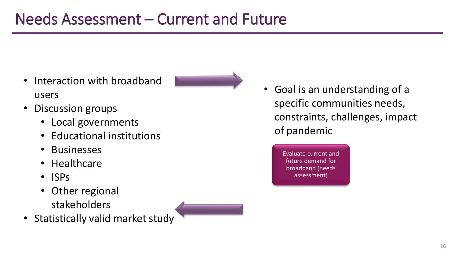- Interaction with broadband users
- Discussion groups
	- Local governments
	- Educational institutions
	- Businesses
	- Healthcare
	- ISPs
	- Other regional stakeholders
- Statistically valid market study



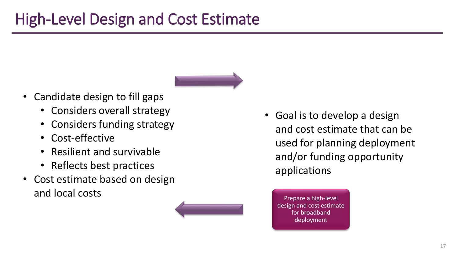

- Candidate design to fill gaps
	- Considers overall strategy
	- Considers funding strategy
	- Cost-effective
	- Resilient and survivable
	- Reflects best practices
- Cost estimate based on design and local costs



• Goal is to develop a design and cost estimate that can be used for planning deployment and/or funding opportunity applications

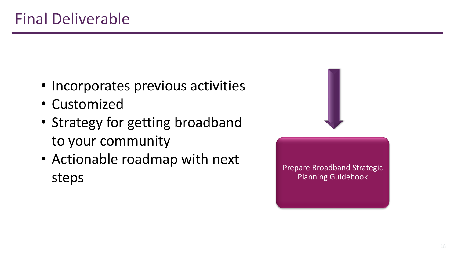- Incorporates previous activities
- Customized
- Strategy for getting broadband to your community
- Actionable roadmap with next steps



Prepare Broadband Strategic Planning Guidebook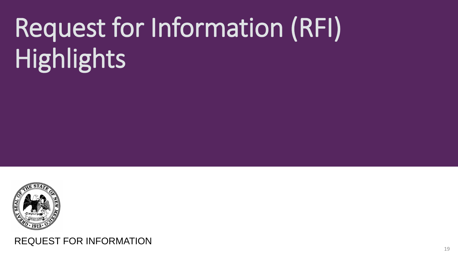# Request for Information (RFI) Highlights



REQUEST FOR INFORMATION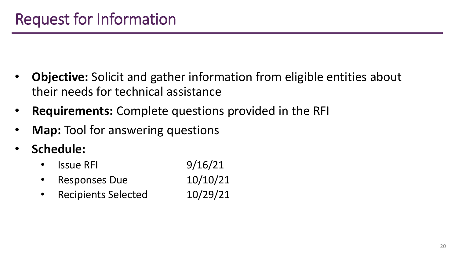- **Objective:** Solicit and gather information from eligible entities about their needs for technical assistance
- **Requirements:** Complete questions provided in the RFI
- **Map:** Tool for answering questions
- **Schedule:**
	- Issue RFI  $9/16/21$
	- Responses Due 10/10/21
	- Recipients Selected 10/29/21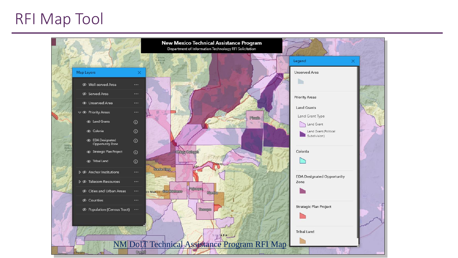# RFI Map Tool

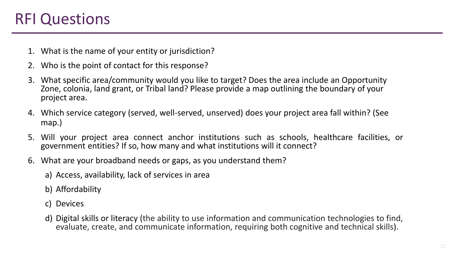# RFI Questions

- 1. What is the name of your entity or jurisdiction?
- 2. Who is the point of contact for this response?
- 3. What specific area/community would you like to target? Does the area include an Opportunity Zone, colonia, land grant, or Tribal land? Please provide a map outlining the boundary of your project area.
- 4. Which service category (served, well-served, unserved) does your project area fall within? (See map.)
- 5. Will your project area connect anchor institutions such as schools, healthcare facilities, or government entities? If so, how many and what institutions will it connect?
- 6. What are your broadband needs or gaps, as you understand them?
	- a) Access, availability, lack of services in area
	- b) Affordability
	- c) Devices
	- d) Digital skills or literacy (the ability to use information and communication technologies to find, evaluate, create, and communicate information, requiring both cognitive and technical skills).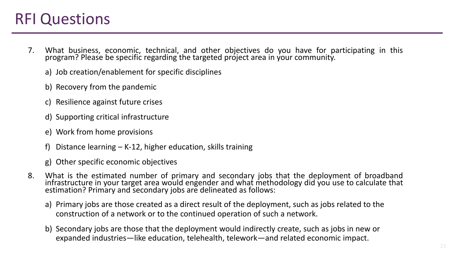## RFI Questions

- 7. What business, economic, technical, and other objectives do you have for participating in this program? Please be specific regarding the targeted project area in your community.
	- a) Job creation/enablement for specific disciplines
	- b) Recovery from the pandemic
	- c) Resilience against future crises
	- d) Supporting critical infrastructure
	- e) Work from home provisions
	- f) Distance learning K-12, higher education, skills training
	- g) Other specific economic objectives
- 8. What is the estimated number of primary and secondary jobs that the deployment of broadband infrastructure in your target area would engender and what methodology did you use to calculate that estimation? Primary and secondary jobs are delineated as follows:
	- a) Primary jobs are those created as a direct result of the deployment, such as jobs related to the construction of a network or to the continued operation of such a network.
	- b) Secondary jobs are those that the deployment would indirectly create, such as jobs in new or expanded industries—like education, telehealth, telework—and related economic impact.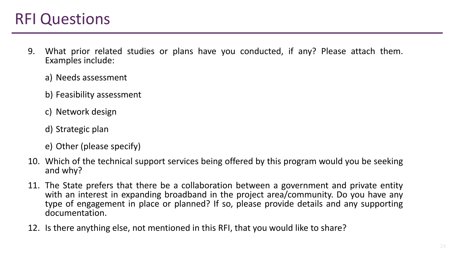## RFI Questions

- 9. What prior related studies or plans have you conducted, if any? Please attach them. Examples include:
	- a) Needs assessment
	- b) Feasibility assessment
	- c) Network design
	- d) Strategic plan
	- e) Other (please specify)
- 10. Which of the technical support services being offered by this program would you be seeking and why?
- 11. The State prefers that there be a collaboration between a government and private entity with an interest in expanding broadband in the project area/community. Do you have any type of engagement in place or planned? If so, please provide details and any supporting documentation.
- 12. Is there anything else, not mentioned in this RFI, that you would like to share?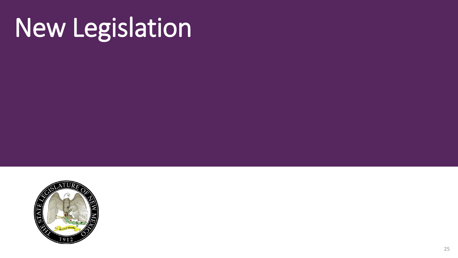# New Legislation

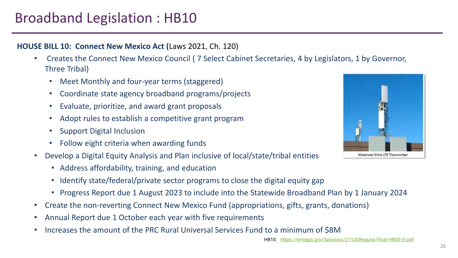### Broadband Legislation : HB10

#### **HOUSE BILL 10: Connect New Mexico Act (**Laws 2021, Ch. 120)

- Creates the Connect New Mexico Council ( 7 Select Cabinet Secretaries, 4 by Legislators, 1 by Governor, Three Tribal)
	- Meet Monthly and four-year terms (staggered)
	- Coordinate state agency broadband programs/projects
	- Evaluate, prioritize, and award grant proposals
	- Adopt rules to establish a competitive grant program
	- Support Digital Inclusion
	- Follow eight criteria when awarding funds
- Develop a Digital Equity Analysis and Plan inclusive of local/state/tribal entities
	- Address affordability, training, and education
	- Identify state/federal/private sector programs to close the digital equity gap
	- Progress Report due 1 August 2023 to include into the Statewide Broadband Plan by 1 January 2024
- Create the non-reverting Connect New Mexico Fund (appropriations, gifts, grants, donations)
- Annual Report due 1 October each year with five requirements
- Increases the amount of the PRC Rural Universal Services Fund to a minimum of \$8M



HB10: <https://nmlegis.gov/Sessions/21%20Regular/final/HB0010.pdf>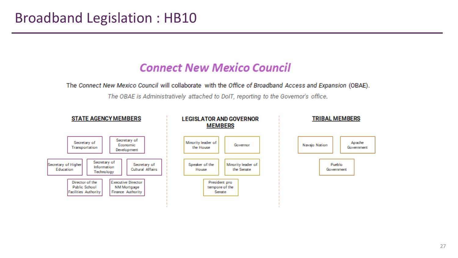#### **Connect New Mexico Council**

The Connect New Mexico Council will collaborate with the Office of Broadband Access and Expansion (OBAE).

The OBAE is Administratively attached to DoIT, reporting to the Governor's office.

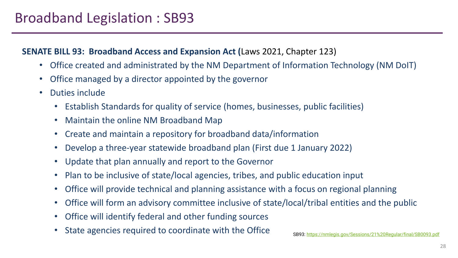### Broadband Legislation : SB93

#### **SENATE BILL 93: Broadband Access and Expansion Act (**Laws 2021, Chapter 123)

- Office created and administrated by the NM Department of Information Technology (NM DoIT)
- Office managed by a director appointed by the governor
- Duties include
	- Establish Standards for quality of service (homes, businesses, public facilities)
	- Maintain the online NM Broadband Map
	- Create and maintain a repository for broadband data/information
	- Develop a three-year statewide broadband plan (First due 1 January 2022)
	- Update that plan annually and report to the Governor
	- Plan to be inclusive of state/local agencies, tribes, and public education input
	- Office will provide technical and planning assistance with a focus on regional planning
	- Office will form an advisory committee inclusive of state/local/tribal entities and the public
	- Office will identify federal and other funding sources
	- State agencies required to coordinate with the Office SB93: <https://nmlegis.gov/Sessions/21%20Regular/final/SB0093.pdf>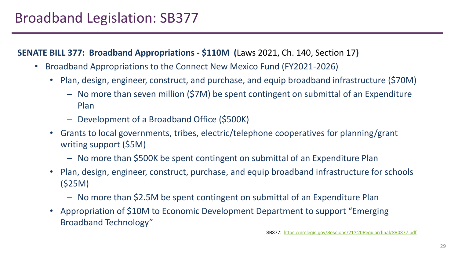#### **SENATE BILL 377: Broadband Appropriations - \$110M (**Laws 2021, Ch. 140, Section 17**)**

- Broadband Appropriations to the Connect New Mexico Fund (FY2021-2026)
	- Plan, design, engineer, construct, and purchase, and equip broadband infrastructure (\$70M)
		- No more than seven million (\$7M) be spent contingent on submittal of an Expenditure Plan
		- Development of a Broadband Office (\$500K)
	- Grants to local governments, tribes, electric/telephone cooperatives for planning/grant writing support (\$5M)
		- No more than \$500K be spent contingent on submittal of an Expenditure Plan
	- Plan, design, engineer, construct, purchase, and equip broadband infrastructure for schools (\$25M)
		- No more than \$2.5M be spent contingent on submittal of an Expenditure Plan
	- Appropriation of \$10M to Economic Development Department to support "Emerging Broadband Technology"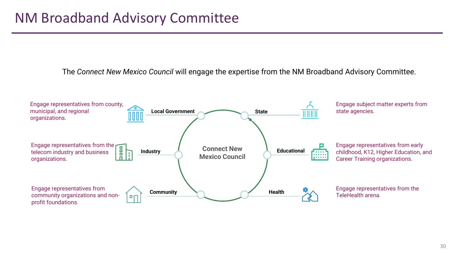The *Connect New Mexico Council* will engage the expertise from the NM Broadband Advisory Committee.